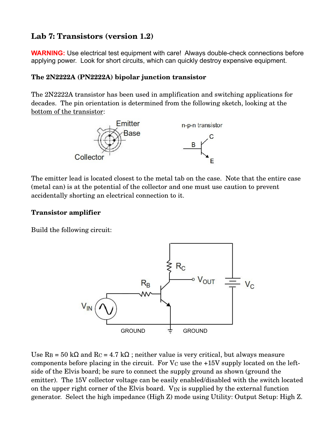# **Lab 7: Transistors (version 1.2)**

**WARNING:** Use electrical test equipment with care! Always double-check connections before applying power. Look for short circuits, which can quickly destroy expensive equipment.

### **The 2N2222A (PN2222A) bipolar junction transistor**

The 2N2222A transistor has been used in amplification and switching applications for decades. The pin orientation is determined from the following sketch, looking at the bottom of the transistor:



The emitter lead is located closest to the metal tab on the case. Note that the entire case (metal can) is at the potential of the collector and one must use caution to prevent accidentally shorting an electrical connection to it.

#### **Transistor amplifier**

Build the following circuit:



Use  $R_B = 50 \text{ k}\Omega$  and  $R_C = 4.7 \text{ k}\Omega$ ; neither value is very critical, but always measure components before placing in the circuit. For  $V<sub>C</sub>$  use the  $+15V$  supply located on the leftside of the Elvis board; be sure to connect the supply ground as shown (ground the emitter). The 15V collector voltage can be easily enabled/disabled with the switch located on the upper right corner of the Elvis board. V<sub>IN</sub> is supplied by the external function generator. Select the high impedance (High Z) mode using Utility: Output Setup: High Z.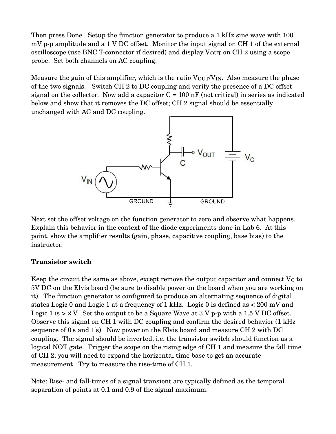Then press Done. Setup the function generator to produce a 1 kHz sine wave with 100  $mV$  p-p amplitude and a 1 V DC offset. Monitor the input signal on CH 1 of the external oscilloscope (use BNC T-connector if desired) and display V<sub>OUT</sub> on CH 2 using a scope probe. Set both channels on AC coupling.

Measure the gain of this amplifier, which is the ratio  $V_{\text{OUT}}/V_{\text{IN}}$ . Also measure the phase of the two signals. Switch CH 2 to DC coupling and verify the presence of a DC offset signal on the collector. Now add a capacitor  $C = 100$  nF (not critical) in series as indicated below and show that it removes the DC offset; CH 2 signal should be essentially unchanged with AC and DC coupling.



Next set the offset voltage on the function generator to zero and observe what happens. Explain this behavior in the context of the diode experiments done in Lab 6. At this point, show the amplifier results (gain, phase, capacitive coupling, base bias) to the instructor.

#### **Transistor switch**

Keep the circuit the same as above, except remove the output capacitor and connect  $V<sub>C</sub>$  to 5V DC on the Elvis board (be sure to disable power on the board when you are working on it). The function generator is configured to produce an alternating sequence of digital states Logic 0 and Logic 1 at a frequency of 1 kHz. Logic 0 is defined as < 200 mV and Logic 1 is  $> 2$  V. Set the output to be a Square Wave at 3 V p-p with a 1.5 V DC offset. Observe this signal on CH 1 with DC coupling and confirm the desired behavior (1 kHz sequence of 0's and 1's). Now power on the Elvis board and measure CH 2 with DC coupling. The signal should be inverted, i.e. the transistor switch should function as a logical NOT gate. Trigger the scope on the rising edge of CH 1 and measure the fall time of CH 2; you will need to expand the horizontal time base to get an accurate measurement. Try to measure the rise-time of CH 1.

Note: Rise- and fall-times of a signal transient are typically defined as the temporal separation of points at 0.1 and 0.9 of the signal maximum.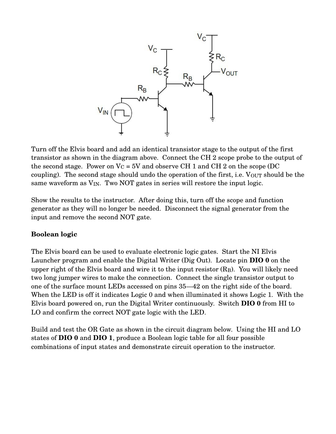

Turn off the Elvis board and add an identical transistor stage to the output of the first transistor as shown in the diagram above. Connect the CH 2 scope probe to the output of the second stage. Power on  $V_c = 5V$  and observe CH 1 and CH 2 on the scope (DC coupling). The second stage should undo the operation of the first, i.e. Vour should be the same waveform as  $V_{IN}$ . Two NOT gates in series will restore the input logic.

Show the results to the instructor. After doing this, turn off the scope and function generator as they will no longer be needed. Disconnect the signal generator from the input and remove the second NOT gate.

## **Boolean logic**

The Elvis board can be used to evaluate electronic logic gates. Start the NI Elvis Launcher program and enable the Digital Writer (Dig Out). Locate pin **DIO 0** on the upper right of the Elvis board and wire it to the input resistor  $(R_B)$ . You will likely need two long jumper wires to make the connection. Connect the single transistor output to one of the surface mount LEDs accessed on pins 35—42 on the right side of the board. When the LED is off it indicates Logic 0 and when illuminated it shows Logic 1. With the Elvis board powered on, run the Digital Writer continuously. Switch **DIO 0** from HI to LO and confirm the correct NOT gate logic with the LED.

Build and test the OR Gate as shown in the circuit diagram below. Using the HI and LO states of **DIO 0** and **DIO 1**, produce a Boolean logic table for all four possible combinations of input states and demonstrate circuit operation to the instructor.